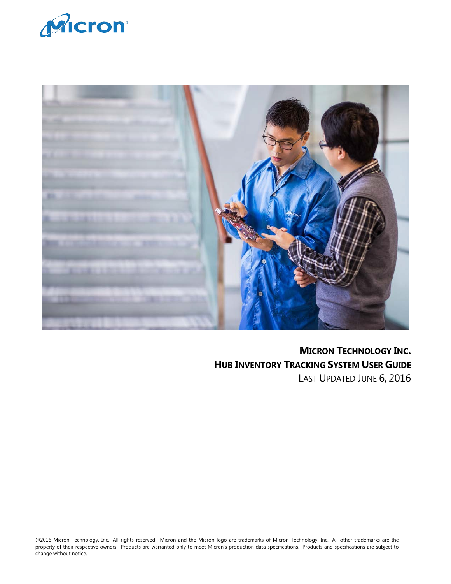



**MICRON TECHNOLOGY INC. HUB INVENTORY TRACKING SYSTEM USER GUIDE** LAST UPDATED JUNE 6, 2016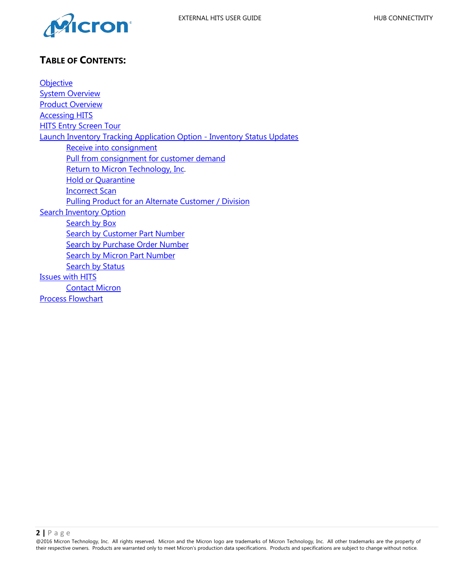



# <span id="page-1-0"></span>**TABLE OF CONTENTS:**

**[Objective](#page-2-0) [System Overview](#page-1-0)** [Product Overview](#page-2-1) [Accessing](#page-2-0) HITS HITS Entry [Screen Tour](#page-4-0) Launch Inventory [Tracking Application Option - Inventory](#page-4-1) Status Updates Receive [into consignment](#page-5-0) Pull from consignment for [customer demand](#page-5-1) [Return to Micron Technology, Inc.](#page-5-2) **Hold or [Quarantine](#page-5-3)** [Incorrect Scan](#page-5-4) Pulling Product for an [Alternate Customer / Division](#page-7-0) [Search Inventory](#page-7-1) Option [Search by](#page-8-0) Box **[Search by](#page-10-0) Customer Part Number** Search by [Purchase Order Number](#page-10-1) **Search by [Micron Part Number](#page-10-2) [Search by](#page-9-0) Status** [Issues with HITS](#page-10-3) [Contact Micron](#page-11-0) [Process Flowchart](#page-12-0)

**2 |** Page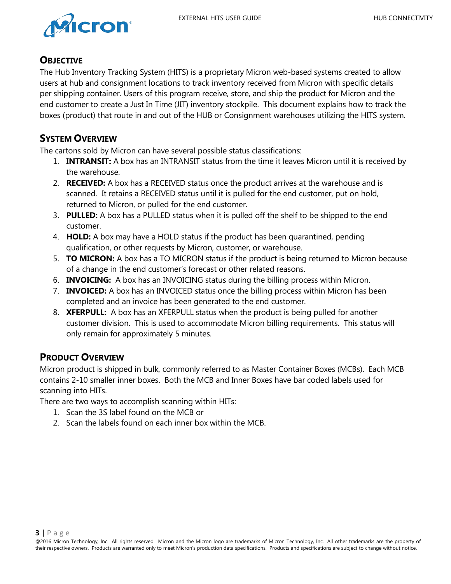

## <span id="page-2-0"></span>**OBJECTIVE**

The Hub Inventory Tracking System (HITS) is a proprietary Micron web-based systems created to allow users at hub and consignment locations to track inventory received from Micron with specific details per shipping container. Users of this program receive, store, and ship the product for Micron and the end customer to create a Just In Time (JIT) inventory stockpile. This document explains how to track the boxes (product) that route in and out of the HUB or Consignment warehouses utilizing the HITS system.

## **SYSTEM OVERVIEW**

The cartons sold by Micron can have several possible status classifications:

- 1. **INTRANSIT:** A box has an INTRANSIT status from the time it leaves Micron until it is received by the warehouse.
- 2. **RECEIVED:** A box has a RECEIVED status once the product arrives at the warehouse and is scanned. It retains a RECEIVED status until it is pulled for the end customer, put on hold, returned to Micron, or pulled for the end customer.
- 3. **PULLED:** A box has a PULLED status when it is pulled off the shelf to be shipped to the end customer.
- 4. **HOLD:** A box may have a HOLD status if the product has been quarantined, pending qualification, or other requests by Micron, customer, or warehouse.
- 5. **TO MICRON:** A box has a TO MICRON status if the product is being returned to Micron because of a change in the end customer's forecast or other related reasons.
- 6. **INVOICING:** A box has an INVOICING status during the billing process within Micron.
- 7. **INVOICED:** A box has an INVOICED status once the billing process within Micron has been completed and an invoice has been generated to the end customer.
- 8. **XFERPULL:** A box has an XFERPULL status when the product is being pulled for another customer division. This is used to accommodate Micron billing requirements. This status will only remain for approximately 5 minutes.

# <span id="page-2-1"></span>**PRODUCT OVERVIEW**

Micron product is shipped in bulk, commonly referred to as Master Container Boxes (MCBs). Each MCB contains 2-10 smaller inner boxes. Both the MCB and Inner Boxes have bar coded labels used for scanning into HITs.

There are two ways to accomplish scanning within HITs:

- 1. Scan the 3S label found on the MCB or
- 2. Scan the labels found on each inner box within the MCB.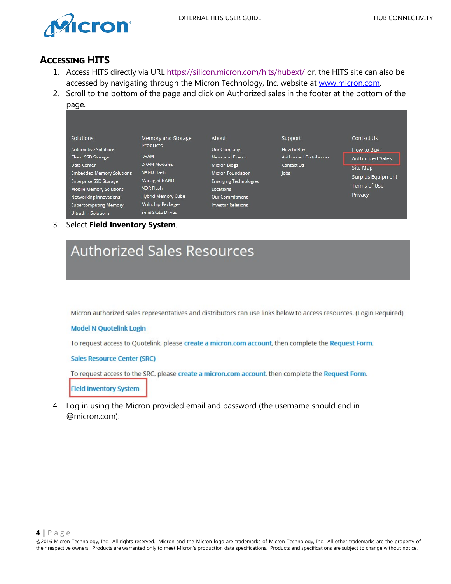

## **ACCESSING HITS**

- 1. Access HITS directly via URL<https://silicon.micron.com/hits/hubext/> or, the HITS site can also be accessed by navigating through the Micron Technology, Inc. website at [www.micron.com.](http://www.micron.com/)
- 2. Scroll to the bottom of the page and click on Authorized sales in the footer at the bottom of the page.

| r – – – –                        |                           |                              |                                |                          |
|----------------------------------|---------------------------|------------------------------|--------------------------------|--------------------------|
|                                  |                           |                              |                                |                          |
| <b>Solutions</b>                 | <b>Memory and Storage</b> | About                        | Support                        | Contact Us               |
| <b>Automotive Solutions</b>      | <b>Products</b>           | Our Company                  | How to Buy                     | How to Buy               |
| Client SSD Storage               | <b>DRAM</b>               | News and Events              | <b>Authorized Distributors</b> | <b>Authorized Sales</b>  |
| Data Center                      | <b>DRAM Modules</b>       | <b>Micron Blogs</b>          | Contact Us                     | <b>Site Map</b>          |
| <b>Embedded Memory Solutions</b> | <b>NAND Flash</b>         | <b>Micron Foundation</b>     | lobs                           | <b>Surplus Equipment</b> |
| <b>Enterprise SSD Storage</b>    | Managed NAND              | <b>Emerging Technologies</b> |                                |                          |
| <b>Mobile Memory Solutions</b>   | <b>NOR Flash</b>          | Locations                    |                                | Terms of Use             |
| Networking Innovations           | Hybrid Memory Cube        | <b>Our Commitment</b>        |                                | Privacy                  |
| <b>Supercomputing Memory</b>     | <b>Multichip Packages</b> | <b>Investor Relations</b>    |                                |                          |
| <b>Ultrathin Solutions</b>       | <b>Solid State Drives</b> |                              |                                |                          |

3. Select **Field Inventory System**.



Micron authorized sales representatives and distributors can use links below to access resources. (Login Required)

#### **Model N Quotelink Login**

To request access to Quotelink, please create a micron.com account, then complete the Request Form.

**Sales Resource Center (SRC)** 

To request access to the SRC, please create a micron.com account, then complete the Request Form.

**Field Inventory System** 

4. Log in using the Micron provided email and password (the username should end in @micron.com):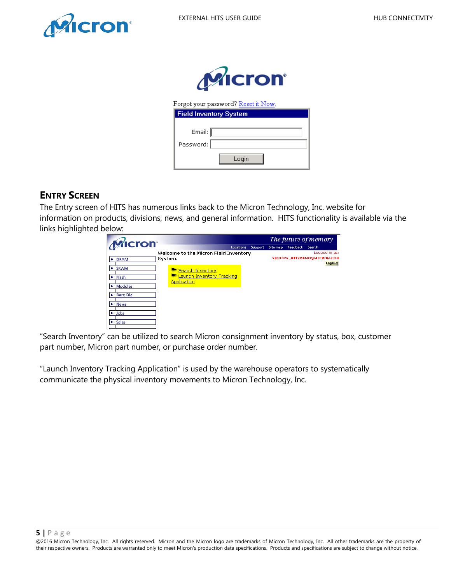<span id="page-4-1"></span>



Forgot your password? <u>Reset it Now</u>.

| <b>Field Inventory System</b> |
|-------------------------------|
|                               |
| Email: $\llbracket$           |
| Password:                     |
| Login                         |

## <span id="page-4-0"></span>**ENTRY SCREEN**

The Entry screen of HITS has numerous links back to the Micron Technology, Inc. website for information on products, divisions, news, and general information. HITS functionality is available via the links highlighted below:

|                            |                                       |                      | The future of memory |                             |
|----------------------------|---------------------------------------|----------------------|----------------------|-----------------------------|
| Micron                     |                                       | Support<br>Locations | Feedback<br>Site map | Search                      |
|                            | Welcome to the Micron Field Inventory |                      |                      | Logged in as:               |
| $\blacktriangleright$ DRAM | System.                               |                      |                      | 5018026_HITSDEMO@MICRON.COM |
|                            |                                       |                      |                      | LogOut                      |
| E SRAM                     | Search Inventory                      |                      |                      |                             |
| Flash<br>٠                 | Launch Inventory Tracking             |                      |                      |                             |
|                            | Application                           |                      |                      |                             |
| <b>Modules</b>             |                                       |                      |                      |                             |
| <b>Bare Die</b>            |                                       |                      |                      |                             |
|                            |                                       |                      |                      |                             |
| <b>News</b>                |                                       |                      |                      |                             |
| $\blacktriangleright$ Jobs |                                       |                      |                      |                             |
|                            |                                       |                      |                      |                             |
| <b>Sales</b>               |                                       |                      |                      |                             |

"Search Inventory" can be utilized to search Micron consignment inventory by status, box, customer part number, Micron part number, or purchase order number.

"Launch Inventory Tracking Application" is used by the warehouse operators to systematically communicate the physical inventory movements to Micron Technology, Inc.

#### **5 |** Page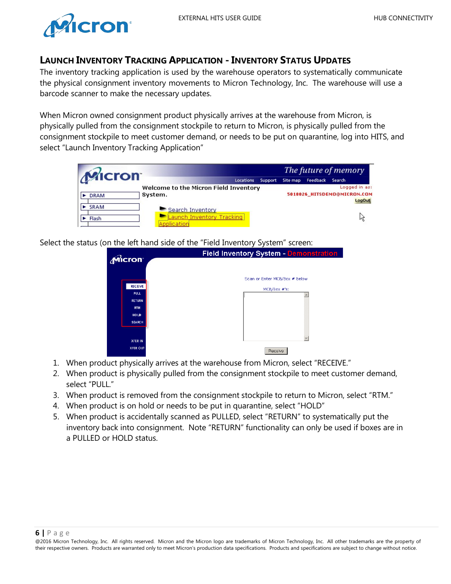

## **LAUNCH INVENTORY TRACKING APPLICATION - INVENTORY STATUS UPDATES**

The inventory tracking application is used by the warehouse operators to systematically communicate the physical consignment inventory movements to Micron Technology, Inc. The warehouse will use a barcode scanner to make the necessary updates.

When Micron owned consignment product physically arrives at the warehouse from Micron, is physically pulled from the consignment stockpile to return to Micron, is physically pulled from the consignment stockpile to meet customer demand, or needs to be put on quarantine, log into HITS, and select "Launch Inventory Tracking Application"

|               |                                                             |           |         | The future of memory |          |                                                        |
|---------------|-------------------------------------------------------------|-----------|---------|----------------------|----------|--------------------------------------------------------|
| Micron        |                                                             | Locations | Support | Site map             | Feedback | Search                                                 |
| <b>DRAM</b>   | Welcome to the Micron Field Inventory<br>System.            |           |         |                      |          | Logged in as:<br>5018026 HITSDEMO@MICRON.COM<br>LogOut |
| SRAM<br>Flash | Search Inventory<br>aunch Inventory Tracking<br>Application |           |         |                      |          |                                                        |

Select the status (on the left hand side of the "Field Inventory System" screen:

| Micron                                                                                       | Field Inventory System - Demonstratio         |
|----------------------------------------------------------------------------------------------|-----------------------------------------------|
| <b>RECEIVE</b><br><b>PULL</b><br><b>RETURN</b><br><b>RTM</b><br><b>HOLD</b><br><b>SEARCH</b> | Scan or Enter MCB/Box # below<br>MCB/Box #'s: |
| <b>XFER IN</b><br><b>XFER OUT</b>                                                            | Receive                                       |

- <span id="page-5-0"></span>1. When product physically arrives at the warehouse from Micron, select "RECEIVE."
- <span id="page-5-1"></span>2. When product is physically pulled from the consignment stockpile to meet customer demand, select "PULL."
- <span id="page-5-2"></span>3. When product is removed from the consignment stockpile to return to Micron, select "RTM."
- <span id="page-5-3"></span>4. When product is on hold or needs to be put in quarantine, select "HOLD"
- <span id="page-5-4"></span>5. When product is accidentally scanned as PULLED, select "RETURN" to systematically put the inventory back into consignment. Note "RETURN" functionality can only be used if boxes are in a PULLED or HOLD status.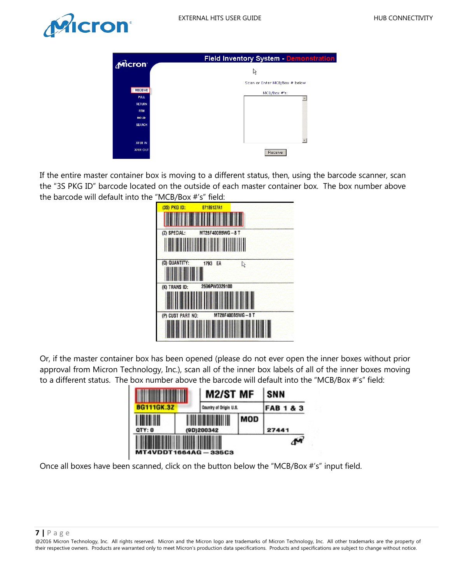



| Micron                        | <b>Field Inventory System - Demonstration</b> |
|-------------------------------|-----------------------------------------------|
|                               | r,                                            |
|                               | Scan or Enter MCB/Box # below                 |
| <b>RECEIVE</b><br><b>PULL</b> | MCB/Box #'s:                                  |
| <b>RETURN</b>                 |                                               |
| <b>RTM</b><br><b>HOLD</b>     |                                               |
| <b>SEARCH</b>                 |                                               |
|                               |                                               |
| <b>XFER IN</b>                |                                               |
| <b>XFER OUT</b>               | Receive                                       |

If the entire master container box is moving to a different status, then, using the barcode scanner, scan the "3S PKG ID" barcode located on the outside of each master container box. The box number above the barcode will default into the "MCB/Box #'s" field:



Or, if the master container box has been opened (please do not ever open the inner boxes without prior approval from Micron Technology, Inc.), scan all of the inner box labels of all of the inner boxes moving to a different status. The box number above the barcode will default into the "MCB/Box #'s" field:

|                   |            | M2/ST MF               | SNN |                      |
|-------------------|------------|------------------------|-----|----------------------|
| <b>BG111GK.3Z</b> |            | Country of Origin U.S. |     | <b>FAB 1 &amp; 3</b> |
| QTY: 0            | (9D)200342 |                        | MOD | 27441                |
| MT4VDDT1664AG     |            | 335C3                  |     |                      |

Once all boxes have been scanned, click on the button below the "MCB/Box #'s" input field.

#### **7 |** Page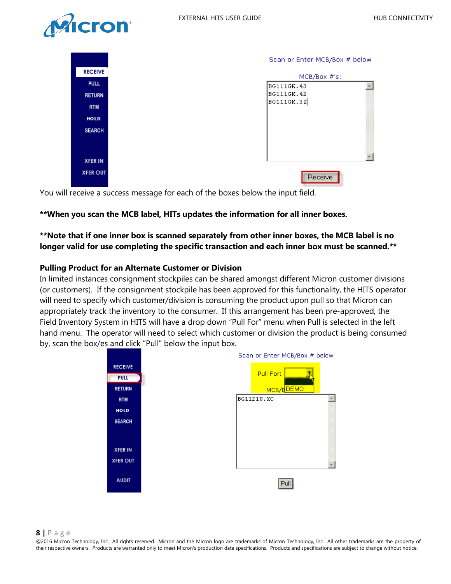

<span id="page-7-1"></span>

|                 | Scan or Enter MCB/Box # below |  |
|-----------------|-------------------------------|--|
| <b>RECEIVE</b>  | MCB/Box #'s:                  |  |
| <b>PULL</b>     | BG111GK.43                    |  |
| <b>RETURN</b>   | BG111GK.42                    |  |
| <b>RTM</b>      | BG111GK.3Z                    |  |
| <b>HOLD</b>     |                               |  |
| <b>SEARCH</b>   |                               |  |
| <b>XFER IN</b>  |                               |  |
| <b>XFER OUT</b> | Receive                       |  |

You will receive a success message for each of the boxes below the input field.

## **\*\*When you scan the MCB label, HITs updates the information for all inner boxes.**

## **\*\*Note that if one inner box is scanned separately from other inner boxes, the MCB label is no longer valid for use completing the specific transaction and each inner box must be scanned.\*\***

### <span id="page-7-0"></span>**Pulling Product for an Alternate Customer or Division**

In limited instances consignment stockpiles can be shared amongst different Micron customer divisions (or customers). If the consignment stockpile has been approved for this functionality, the HITS operator will need to specify which customer/division is consuming the product upon pull so that Micron can appropriately track the inventory to the consumer. If this arrangement has been pre-approved, the Field Inventory System in HITS will have a drop down "Pull For" menu when Pull is selected in the left hand menu. The operator will need to select which customer or division the product is being consumed by, scan the box/es and click "Pull" below the input box.



#### **8 |** Page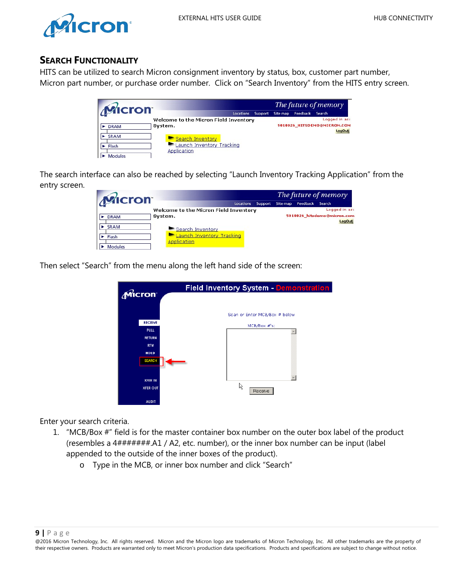

## **SEARCH FUNCTIONALITY**

HITS can be utilized to search Micron consignment inventory by status, box, customer part number, Micron part number, or purchase order number. Click on "Search Inventory" from the HITS entry screen.

|             |                                       |           |         |          | The future of memory |                             |  |
|-------------|---------------------------------------|-----------|---------|----------|----------------------|-----------------------------|--|
| Micron      |                                       | Locations | Support | Site map | Feedback             | Search                      |  |
|             | Welcome to the Micron Field Inventory |           |         |          |                      | Logged in as:               |  |
| <b>DRAM</b> | System.                               |           |         |          |                      | 5018026_HITSDEMO@MICRON.COM |  |
|             |                                       |           |         |          |                      | <b>LogOut</b>               |  |
| SRAM        | Search Inventory                      |           |         |          |                      |                             |  |
| Flash       | Launch Inventory Tracking             |           |         |          |                      |                             |  |
|             | Application                           |           |         |          |                      |                             |  |
| Modules     |                                       |           |         |          |                      |                             |  |

The search interface can also be reached by selecting "Launch Inventory Tracking Application" from the entry screen.

|                |                                                 |           |         | The future of memory |          |                             |        |
|----------------|-------------------------------------------------|-----------|---------|----------------------|----------|-----------------------------|--------|
| Micron         |                                                 | Locations | Support | Site map             | Feedback | Search                      |        |
|                | Welcome to the Micron Field Inventory           |           |         |                      |          | Logged in as:               |        |
| <b>DRAM</b>    | System.                                         |           |         |                      |          | 5018026_hitsdemo@micron.com | LogOut |
| <b>SRAM</b>    | Search Inventory                                |           |         |                      |          |                             |        |
| Flash          | <b>Launch Inventory Tracking</b><br>Application |           |         |                      |          |                             |        |
| <b>Modules</b> |                                                 |           |         |                      |          |                             |        |

Then select "Search" from the menu along the left hand side of the screen:



<span id="page-8-0"></span>Enter your search criteria.

- 1. "MCB/Box #" field is for the master container box number on the outer box label of the product (resembles a 4#######.A1 / A2, etc. number), or the inner box number can be input (label appended to the outside of the inner boxes of the product).
	- o Type in the MCB, or inner box number and click "Search"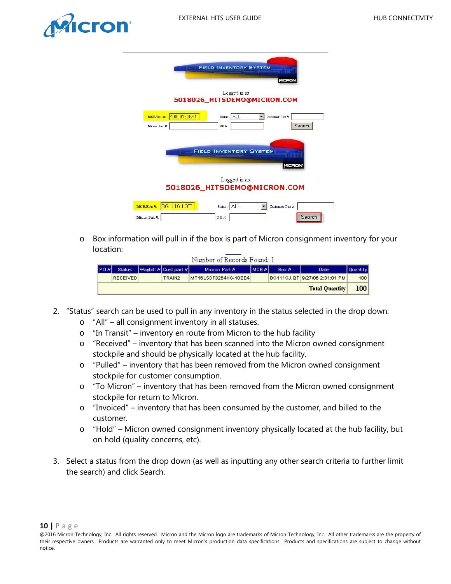

|                              | PO#:                      |                                                            |                               | Search                                                                                                                                                                        |
|------------------------------|---------------------------|------------------------------------------------------------|-------------------------------|-------------------------------------------------------------------------------------------------------------------------------------------------------------------------------|
|                              |                           |                                                            |                               |                                                                                                                                                                               |
|                              |                           |                                                            |                               |                                                                                                                                                                               |
|                              |                           |                                                            |                               |                                                                                                                                                                               |
|                              |                           |                                                            |                               |                                                                                                                                                                               |
|                              | PO#:                      |                                                            |                               | Search                                                                                                                                                                        |
| MCB/Box #:<br>Micron Part #: | 400001928A1<br>BG111GJ.QT | Logged in as<br>Status: ALL<br>Logged in as<br>Status: ALL | <b>FIELD INVENTORY SYSTEM</b> | MERON<br>5018026_HITSDEMO@MICRON.COM<br>Customer Part #:<br><b>FIELD INVENTORY SYSTEM</b><br><u>Filminin Tin</u><br>MICRON<br>5018026_HITSDEMO@MICRON.COM<br>Customer Part #: |

o Box information will pull in if the box is part of Micron consignment inventory for your location:

| Number of Records Found: 1 |       |                 |  |                        |                      |         |      |                               |          |  |  |
|----------------------------|-------|-----------------|--|------------------------|----------------------|---------|------|-------------------------------|----------|--|--|
|                            | IPO#I | <b>Status</b>   |  | Waybill # Cust part #1 | Micron Part #        | імсв #І | Box# | Date                          | Quantity |  |  |
|                            |       | <b>RECEIVED</b> |  | TRAIN2                 | MT16LSDF3264HG-10EE4 |         |      | BG111GJ.QT 9/27/06 2:31:01 PM | 100      |  |  |
|                            |       |                 |  |                        |                      |         |      | <b>Total Quantity</b>         | 100      |  |  |

- <span id="page-9-0"></span>2. "Status" search can be used to pull in any inventory in the status selected in the drop down:
	- o "All" all consignment inventory in all statuses.
	- o "In Transit" inventory en route from Micron to the hub facility
	- o "Received" inventory that has been scanned into the Micron owned consignment stockpile and should be physically located at the hub facility.
	- o "Pulled" inventory that has been removed from the Micron owned consignment stockpile for customer consumption.
	- o "To Micron" inventory that has been removed from the Micron owned consignment stockpile for return to Micron.
	- o "Invoiced" inventory that has been consumed by the customer, and billed to the customer.
	- o "Hold" Micron owned consignment inventory physically located at the hub facility, but on hold (quality concerns, etc).
- 3. Select a status from the drop down (as well as inputting any other search criteria to further limit the search) and click Search.

**<sup>10</sup> |** Page

<sup>@2016</sup> Micron Technology, Inc. All rights reserved. Micron and the Micron logo are trademarks of Micron Technology, Inc. All other trademarks are the property of their respective owners. Products are warranted only to meet Micron's production data specifications. Products and specifications are subject to change without notice.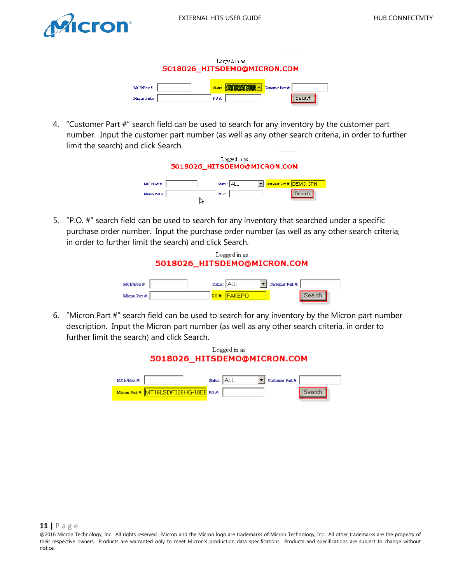<span id="page-10-3"></span>



<span id="page-10-0"></span>4. "Customer Part #" search field can be used to search for any inventory by the customer part number. Input the customer part number (as well as any other search criteria, in order to further limit the search) and click Search.



<span id="page-10-1"></span>5. "P.O. #" search field can be used to search for any inventory that searched under a specific purchase order number. Input the purchase order number (as well as any other search criteria, in order to further limit the search) and click Search.



<span id="page-10-2"></span>6. "Micron Part #" search field can be used to search for any inventory by the Micron part number description. Input the Micron part number (as well as any other search criteria, in order to further limit the search) and click Search.



<sup>@2016</sup> Micron Technology, Inc. All rights reserved. Micron and the Micron logo are trademarks of Micron Technology, Inc. All other trademarks are the property of their respective owners. Products are warranted only to meet Micron's production data specifications. Products and specifications are subject to change without notice.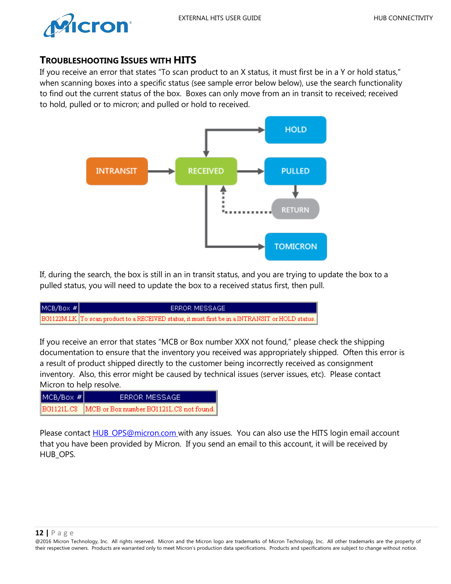



## **TROUBLESHOOTING ISSUES WITH HITS**

If you receive an error that states "To scan product to an X status, it must first be in a Y or hold status," when scanning boxes into a specific status (see sample error below below), use the search functionality to find out the current status of the box. Boxes can only move from an in transit to received; received to hold, pulled or to micron; and pulled or hold to received.



If, during the search, the box is still in an in transit status, and you are trying to update the box to a pulled status, you will need to update the box to a received status first, then pull.

| $MCB/Box$ # $\mid$ | ERROR MESSAGE                                                                                       |
|--------------------|-----------------------------------------------------------------------------------------------------|
|                    | [BG1122M.LK] To scan product to a RECEIVED status, it must first be in a INTRANSIT or HOLD status.] |

If you receive an error that states "MCB or Box number XXX not found," please check the shipping documentation to ensure that the inventory you received was appropriately shipped. Often this error is a result of product shipped directly to the customer being incorrectly received as consignment inventory. Also, this error might be caused by technical issues (server issues, etc). Please contact Micron to help resolve.

| MCB/Box # | ERROR MESSAGE                                        |
|-----------|------------------------------------------------------|
|           | BG1121L.C8   MCB or Box number BG1121L.C8 not found. |

<span id="page-11-0"></span>Please contact **HUB** OPS@micron.com with any issues. You can also use the HITS login email account that you have been provided by Micron. If you send an email to this account, it will be received by HUB OPS.

<sup>@2016</sup> Micron Technology, Inc. All rights reserved. Micron and the Micron logo are trademarks of Micron Technology, Inc. All other trademarks are the property of their respective owners. Products are warranted only to meet Micron's production data specifications. Products and specifications are subject to change without notice.